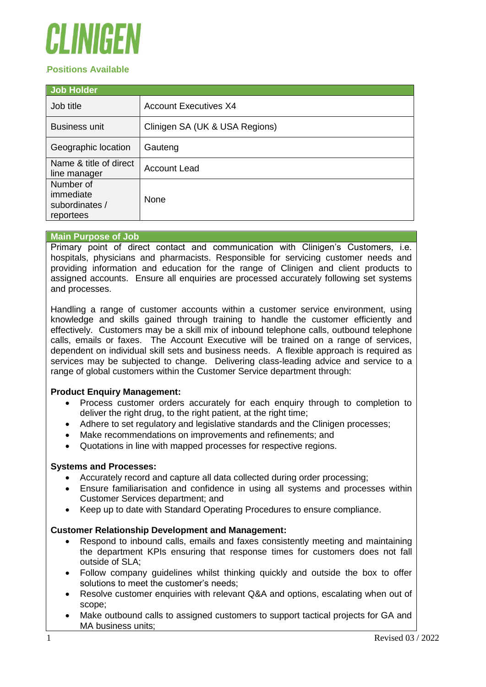# EI INIIHE

# **Positions Available**

| <b>Job Holder</b>                                     |                                |
|-------------------------------------------------------|--------------------------------|
| Job title                                             | <b>Account Executives X4</b>   |
| <b>Business unit</b>                                  | Clinigen SA (UK & USA Regions) |
| Geographic location                                   | Gauteng                        |
| Name & title of direct<br>line manager                | <b>Account Lead</b>            |
| Number of<br>immediate<br>subordinates /<br>reportees | <b>None</b>                    |

# **Main Purpose of Job**

Primary point of direct contact and communication with Clinigen's Customers, i.e. hospitals, physicians and pharmacists. Responsible for servicing customer needs and providing information and education for the range of Clinigen and client products to assigned accounts. Ensure all enquiries are processed accurately following set systems and processes.

Handling a range of customer accounts within a customer service environment, using knowledge and skills gained through training to handle the customer efficiently and effectively. Customers may be a skill mix of inbound telephone calls, outbound telephone calls, emails or faxes. The Account Executive will be trained on a range of services, dependent on individual skill sets and business needs. A flexible approach is required as services may be subjected to change. Delivering class-leading advice and service to a range of global customers within the Customer Service department through:

# **Product Enquiry Management:**

- Process customer orders accurately for each enquiry through to completion to deliver the right drug, to the right patient, at the right time;
- Adhere to set regulatory and legislative standards and the Clinigen processes;
- Make recommendations on improvements and refinements; and
- Quotations in line with mapped processes for respective regions.

# **Systems and Processes:**

- Accurately record and capture all data collected during order processing;
- Ensure familiarisation and confidence in using all systems and processes within Customer Services department; and
- Keep up to date with Standard Operating Procedures to ensure compliance.

# **Customer Relationship Development and Management:**

- Respond to inbound calls, emails and faxes consistently meeting and maintaining the department KPIs ensuring that response times for customers does not fall outside of SLA;
- Follow company guidelines whilst thinking quickly and outside the box to offer solutions to meet the customer's needs;
- Resolve customer enquiries with relevant Q&A and options, escalating when out of scope;
- Make outbound calls to assigned customers to support tactical projects for GA and MA business units;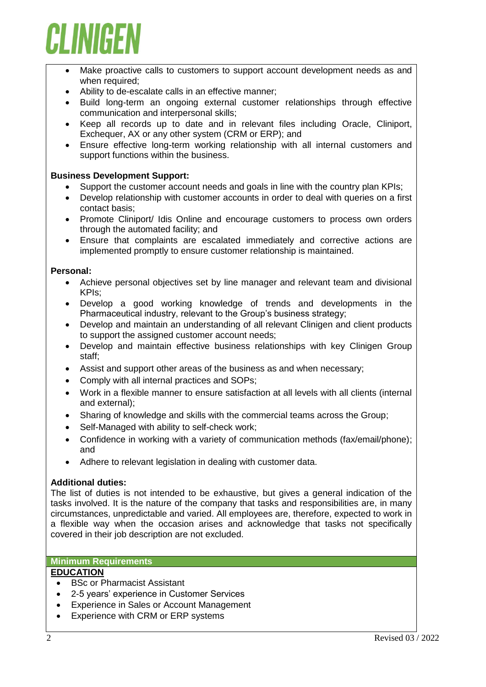

- Make proactive calls to customers to support account development needs as and when required;
- Ability to de-escalate calls in an effective manner;
- Build long-term an ongoing external customer relationships through effective communication and interpersonal skills;
- Keep all records up to date and in relevant files including Oracle, Cliniport, Exchequer, AX or any other system (CRM or ERP); and
- Ensure effective long-term working relationship with all internal customers and support functions within the business.

#### **Business Development Support:**

- Support the customer account needs and goals in line with the country plan KPIs;
- Develop relationship with customer accounts in order to deal with queries on a first contact basis;
- Promote Cliniport/ Idis Online and encourage customers to process own orders through the automated facility; and
- Ensure that complaints are escalated immediately and corrective actions are implemented promptly to ensure customer relationship is maintained.

#### **Personal:**

- Achieve personal objectives set by line manager and relevant team and divisional KPIs;
- Develop a good working knowledge of trends and developments in the Pharmaceutical industry, relevant to the Group's business strategy;
- Develop and maintain an understanding of all relevant Clinigen and client products to support the assigned customer account needs;
- Develop and maintain effective business relationships with key Clinigen Group staff;
- Assist and support other areas of the business as and when necessary;
- Comply with all internal practices and SOPs;
- Work in a flexible manner to ensure satisfaction at all levels with all clients (internal and external);
- Sharing of knowledge and skills with the commercial teams across the Group;
- Self-Managed with ability to self-check work;
- Confidence in working with a variety of communication methods (fax/email/phone); and
- Adhere to relevant legislation in dealing with customer data.

# **Additional duties:**

The list of duties is not intended to be exhaustive, but gives a general indication of the tasks involved. It is the nature of the company that tasks and responsibilities are, in many circumstances, unpredictable and varied. All employees are, therefore, expected to work in a flexible way when the occasion arises and acknowledge that tasks not specifically covered in their job description are not excluded.

#### **Minimum Requirements**

# **EDUCATION**

- BSc or Pharmacist Assistant
- 2-5 years' experience in Customer Services
- Experience in Sales or Account Management
- Experience with CRM or ERP systems